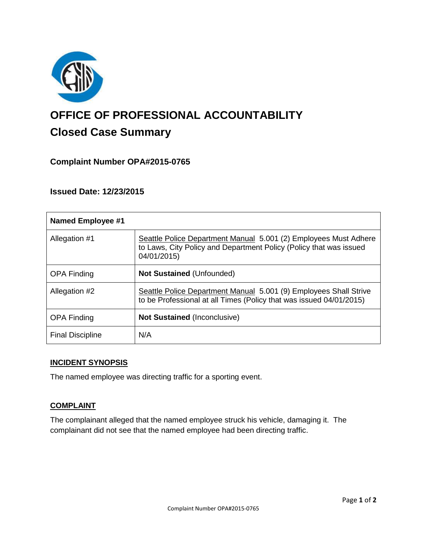

# **OFFICE OF PROFESSIONAL ACCOUNTABILITY Closed Case Summary**

# **Complaint Number OPA#2015-0765**

**Issued Date: 12/23/2015**

| <b>Named Employee #1</b> |                                                                                                                                                       |
|--------------------------|-------------------------------------------------------------------------------------------------------------------------------------------------------|
| Allegation #1            | Seattle Police Department Manual 5.001 (2) Employees Must Adhere<br>to Laws, City Policy and Department Policy (Policy that was issued<br>04/01/2015) |
| <b>OPA Finding</b>       | <b>Not Sustained (Unfounded)</b>                                                                                                                      |
| Allegation #2            | Seattle Police Department Manual 5.001 (9) Employees Shall Strive<br>to be Professional at all Times (Policy that was issued 04/01/2015)              |
| <b>OPA Finding</b>       | <b>Not Sustained (Inconclusive)</b>                                                                                                                   |
| <b>Final Discipline</b>  | N/A                                                                                                                                                   |

## **INCIDENT SYNOPSIS**

The named employee was directing traffic for a sporting event.

## **COMPLAINT**

The complainant alleged that the named employee struck his vehicle, damaging it. The complainant did not see that the named employee had been directing traffic.